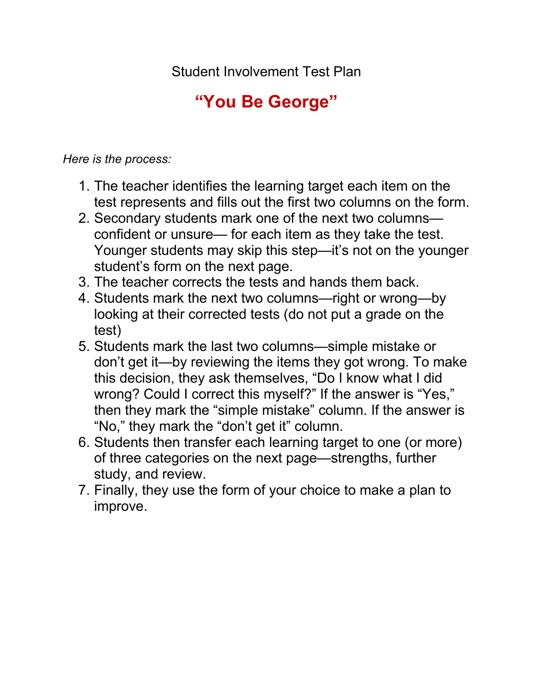Student Involvement Test Plan

## **"You Be George"**

*Here is the process:* 

- 1. The teacher identifies the learning target each item on the test represents and fills out the first two columns on the form.
- 2. Secondary students mark one of the next two columns confident or unsure— for each item as they take the test. Younger students may skip this step—it's not on the younger student's form on the next page.
- 3. The teacher corrects the tests and hands them back.
- 4. Students mark the next two columns—right or wrong—by looking at their corrected tests (do not put a grade on the test)
- 5. Students mark the last two columns—simple mistake or don't get it—by reviewing the items they got wrong. To make this decision, they ask themselves, "Do I know what I did wrong? Could I correct this myself?" If the answer is "Yes," then they mark the "simple mistake" column. If the answer is "No," they mark the "don't get it" column.
- 6. Students then transfer each learning target to one (or more) of three categories on the next page—strengths, further study, and review.
- 7. Finally, they use the form of your choice to make a plan to improve.